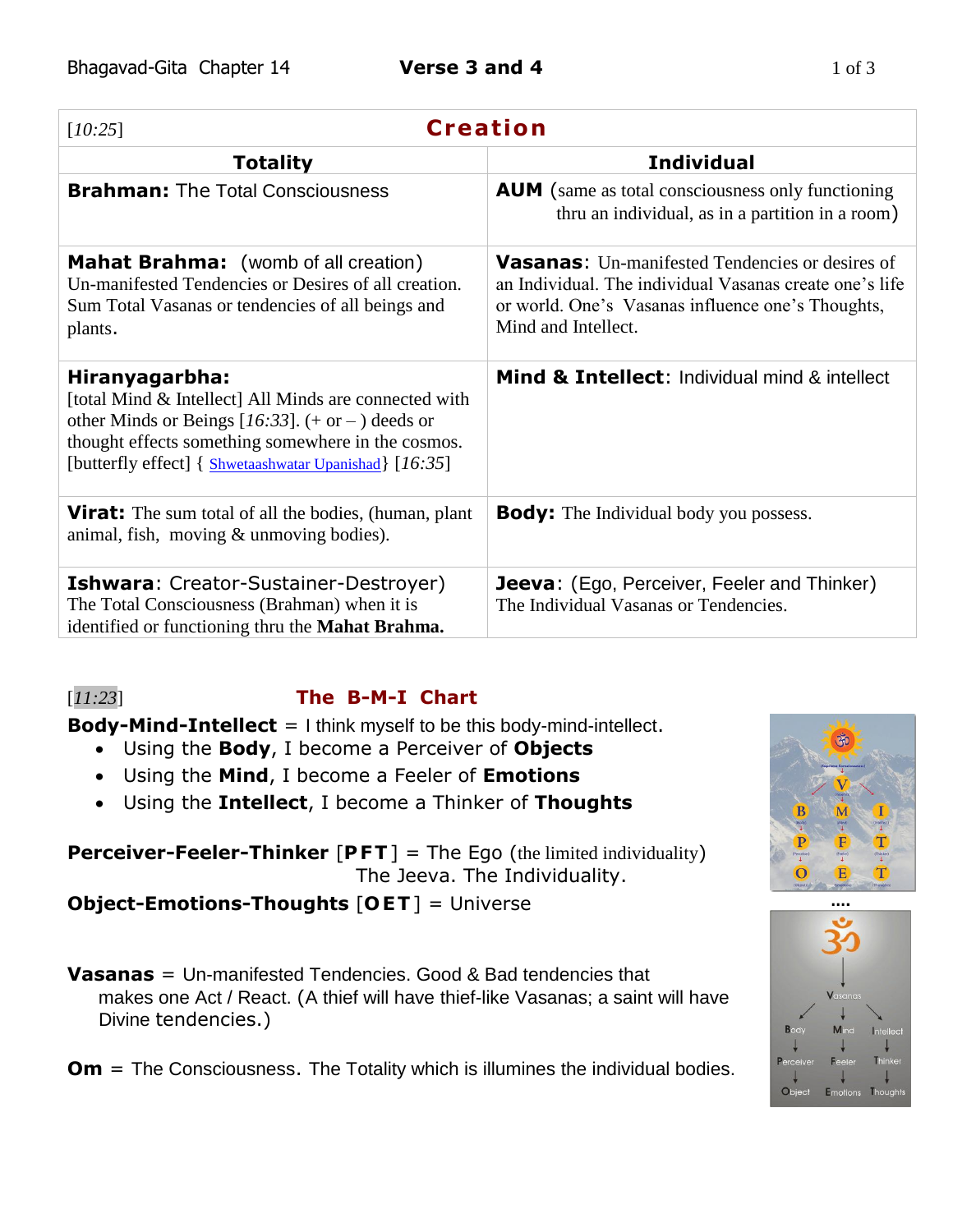| <b>Creation</b><br>[10:25]                                                                                                                                                                                                                      |                                                                                                                                                                                               |
|-------------------------------------------------------------------------------------------------------------------------------------------------------------------------------------------------------------------------------------------------|-----------------------------------------------------------------------------------------------------------------------------------------------------------------------------------------------|
| <b>Totality</b>                                                                                                                                                                                                                                 | <b>Individual</b>                                                                                                                                                                             |
| <b>Brahman: The Total Consciousness</b>                                                                                                                                                                                                         | <b>AUM</b> (same as total consciousness only functioning<br>thru an individual, as in a partition in a room)                                                                                  |
| <b>Mahat Brahma:</b> (womb of all creation)<br>Un-manifested Tendencies or Desires of all creation.<br>Sum Total Vasanas or tendencies of all beings and<br>plants.                                                                             | <b>Vasanas:</b> Un-manifested Tendencies or desires of<br>an Individual. The individual Vasanas create one's life<br>or world. One's Vasanas influence one's Thoughts,<br>Mind and Intellect. |
| Hiranyagarbha:<br>[total Mind & Intellect] All Minds are connected with<br>other Minds or Beings [16:33]. $(+$ or $-)$ deeds or<br>thought effects something somewhere in the cosmos.<br>[butterfly effect] { Shwetaashwatar Upanishad} [16:35] | Mind & Intellect: Individual mind & intellect                                                                                                                                                 |
| <b>Virat:</b> The sum total of all the bodies, (human, plant)<br>animal, fish, moving $&$ unmoving bodies).                                                                                                                                     | <b>Body:</b> The Individual body you possess.                                                                                                                                                 |
| <b>Ishwara: Creator-Sustainer-Destroyer)</b><br>The Total Consciousness (Brahman) when it is<br>identified or functioning thru the <b>Mahat Brahma.</b>                                                                                         | <b>Jeeva:</b> (Ego, Perceiver, Feeler and Thinker)<br>The Individual Vasanas or Tendencies.                                                                                                   |

# [*11:23*] **The B-M-I Chart**

**Body-Mind-Intellect** = I think myself to be this body-mind-intellect.

- Using the **Body**, I become a Perceiver of **Objects**
- Using the **Mind**, I become a Feeler of **Emotions**
- Using the **Intellect**, I become a Thinker of **Thoughts**

**Perceiver-Feeler-Thinker** [PFT] = The Ego (the limited individuality) The Jeeva. The Individuality.

**Object-Emotions-Thoughts** [**O ET**] = Universe **….**

**Vasanas** = Un-manifested Tendencies. Good & Bad tendencies that makes one Act / React. (A thief will have thief-like Vasanas; a saint will have Divine tendencies.)

**Om** = The Consciousness. The Totality which is illumines the individual bodies.



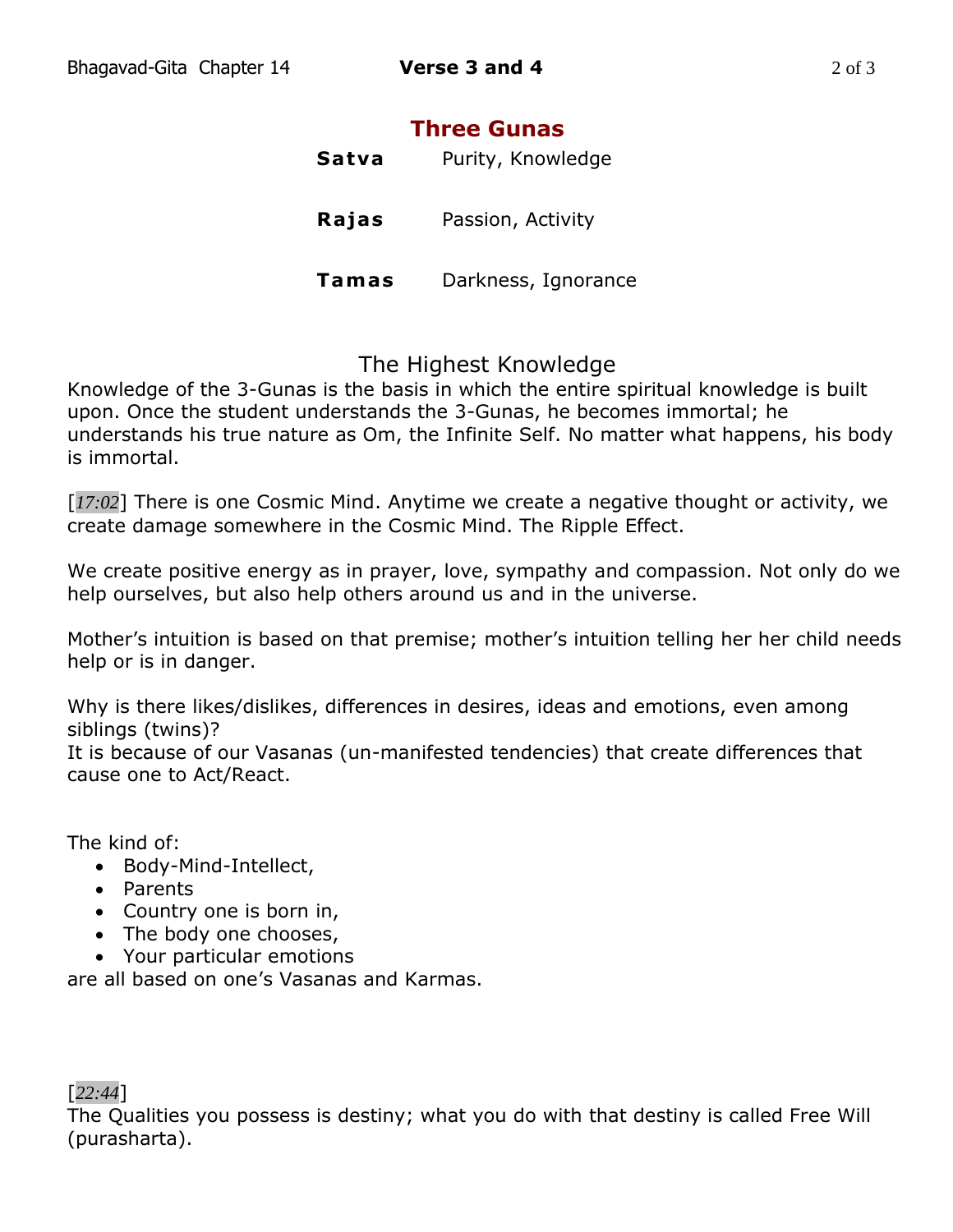# **Three Gunas**

| Satva | Purity, Knowledge   |
|-------|---------------------|
| Rajas | Passion, Activity   |
| Tamas | Darkness, Ignorance |

# The Highest Knowledge

Knowledge of the 3-Gunas is the basis in which the entire spiritual knowledge is built upon. Once the student understands the 3-Gunas, he becomes immortal; he understands his true nature as Om, the Infinite Self. No matter what happens, his body is immortal.

[*17:02*] There is one Cosmic Mind. Anytime we create a negative thought or activity, we create damage somewhere in the Cosmic Mind. The Ripple Effect.

We create positive energy as in prayer, love, sympathy and compassion. Not only do we help ourselves, but also help others around us and in the universe.

Mother's intuition is based on that premise; mother's intuition telling her her child needs help or is in danger.

Why is there likes/dislikes, differences in desires, ideas and emotions, even among siblings (twins)?

It is because of our Vasanas (un-manifested tendencies) that create differences that cause one to Act/React.

The kind of:

- Body-Mind-Intellect,
- Parents
- Country one is born in,
- The body one chooses,
- Your particular emotions

are all based on one's Vasanas and Karmas.

### [*22:44*]

The Qualities you possess is destiny; what you do with that destiny is called Free Will (purasharta).